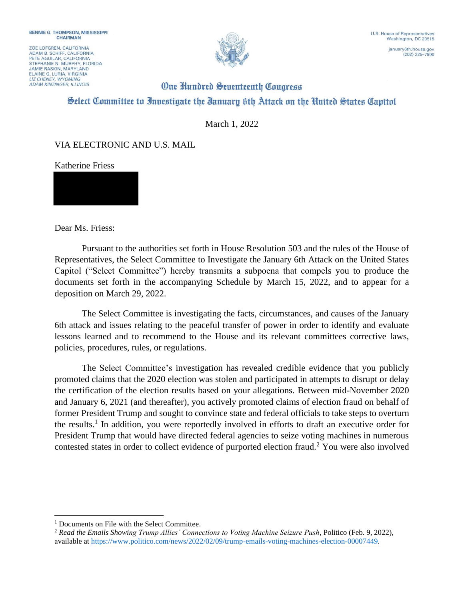ZOE LOFGREN, CALIFORNIA ADAM B. SCHIFF, CALIFORNIA<br>PETE AGUILAR, CALIFORNIA STEPHANIE N. MURPHY, FLORIDA **JAMIE RASKIN, MARYLAND** ELAINE G. LURIA, VIRGINIA **ADAM KINZINGER, ILLINOIS** 



(202) 225-7800

## **One Hundred Seventeenth Congress** Select Committee to Investigate the Ianuary 6th Attack on the United States Capitol

March 1, 2022

## VIA ELECTRONIC AND U.S. MAIL

Katherine Friess

Dear Ms. Friess:

Pursuant to the authorities set forth in House Resolution 503 and the rules of the House of Representatives, the Select Committee to Investigate the January 6th Attack on the United States Capitol ("Select Committee") hereby transmits a subpoena that compels you to produce the documents set forth in the accompanying Schedule by March 15, 2022, and to appear for a deposition on March 29, 2022.

The Select Committee is investigating the facts, circumstances, and causes of the January 6th attack and issues relating to the peaceful transfer of power in order to identify and evaluate lessons learned and to recommend to the House and its relevant committees corrective laws, policies, procedures, rules, or regulations.

The Select Committee's investigation has revealed credible evidence that you publicly promoted claims that the 2020 election was stolen and participated in attempts to disrupt or delay the certification of the election results based on your allegations. Between mid-November 2020 and January 6, 2021 (and thereafter), you actively promoted claims of election fraud on behalf of former President Trump and sought to convince state and federal officials to take steps to overturn the results.<sup>1</sup> In addition, you were reportedly involved in efforts to draft an executive order for President Trump that would have directed federal agencies to seize voting machines in numerous contested states in order to collect evidence of purported election fraud.<sup>2</sup> You were also involved

<sup>&</sup>lt;sup>1</sup> Documents on File with the Select Committee.

<sup>2</sup> *Read the Emails Showing Trump Allies' Connections to Voting Machine Seizure Push*, Politico (Feb. 9, 2022), available at https://www.politico.com/news/2022/02/09/trump-emails-voting-machines-election-00007449.